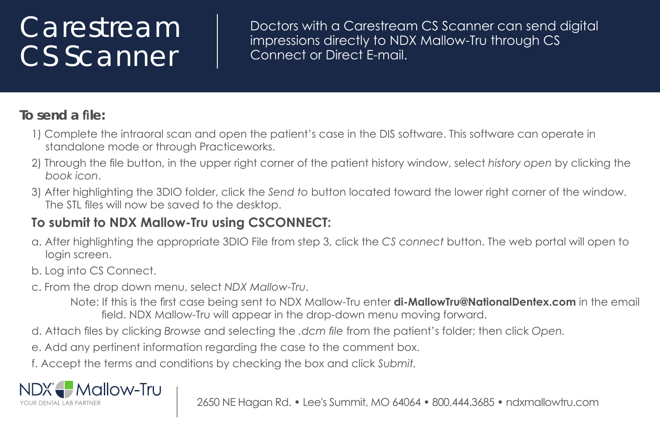## Carestream **CS Scanner**

Doctors with a Carestream CS Scanner can send digital impressions directly to NDX Mallow-Tru through CS Connect or Direct E-mail.

## In send a file:

- 1) Complete the intraoral scan and open the patient's case in the DIS software. This software can operate in standalone mode or through Practiceworks.
- 2) Through the file button, in the upper right corner of the patient history window, select history open by clicking the book icon
- 3) After highlighting the 3DIO folder, click the Send to button located toward the lower right corner of the window. The STL files will now be saved to the desktop.

## To submit to NDX Mallow-Tru using CSCONNECT:

- a. After highlighting the appropriate 3DIO File from step 3, click the CS connect button. The web portal will open to login screen.
- b. Log into CS Connect.
- c. From the drop down menu, select NDX Mallow-Tru.
	- Note: If this is the first case being sent to NDX Mallow-Tru enter **di-MallowTru@NationalDentex.com** in the email field. NDX Mallow-Tru will appear in the drop-down menu moving forward.
- d. Attach files by clicking Browse and selecting the .dcm file from the patient's folder; then click Open.
- e. Add any pertinent information regarding the case to the comment box.
- f. Accept the terms and conditions by checking the box and click Submit.